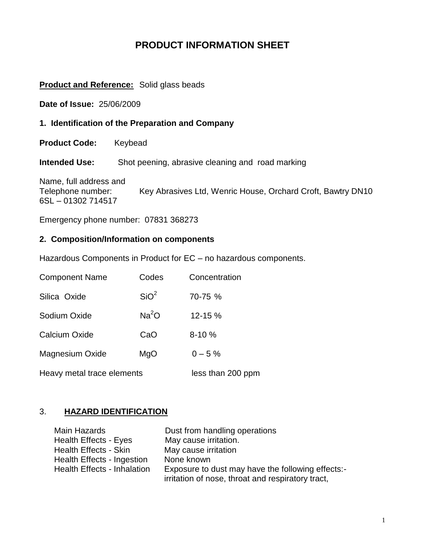# **PRODUCT INFORMATION SHEET**

#### **Product and Reference:** Solid glass beads

**Date of Issue:** 25/06/2009

**1. Identification of the Preparation and Company**

**Product Code:** Keybead

**Intended Use:** Shot peening, abrasive cleaning and road marking

Name, full address and Telephone number: Key Abrasives Ltd, Wenric House, Orchard Croft, Bawtry DN10 6SL – 01302 714517

Emergency phone number: 07831 368273

### **2. Composition/Information on components**

Hazardous Components in Product for EC – no hazardous components.

| <b>Component Name</b>      | Codes             | Concentration     |
|----------------------------|-------------------|-------------------|
| Silica Oxide               | SiO <sup>2</sup>  | 70-75 %           |
| Sodium Oxide               | Na <sup>2</sup> O | 12-15 %           |
| <b>Calcium Oxide</b>       | CaO               | $8 - 10%$         |
| <b>Magnesium Oxide</b>     | MgO               | $0 - 5 \%$        |
| Heavy metal trace elements |                   | less than 200 ppm |

# 3. **HAZARD IDENTIFICATION**

| Main Hazards                 | Dust from handling operations                     |
|------------------------------|---------------------------------------------------|
| Health Effects - Eyes        | May cause irritation.                             |
| <b>Health Effects - Skin</b> | May cause irritation                              |
| Health Effects - Ingestion   | None known                                        |
| Health Effects - Inhalation  | Exposure to dust may have the following effects:- |
|                              | irritation of nose, throat and respiratory tract, |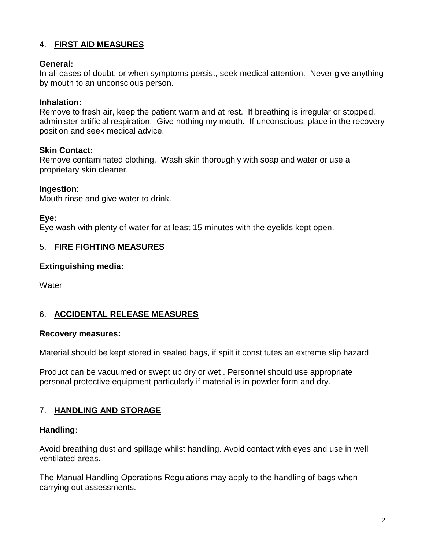### 4. **FIRST AID MEASURES**

#### **General:**

In all cases of doubt, or when symptoms persist, seek medical attention. Never give anything by mouth to an unconscious person.

#### **Inhalation:**

Remove to fresh air, keep the patient warm and at rest. If breathing is irregular or stopped, administer artificial respiration. Give nothing my mouth. If unconscious, place in the recovery position and seek medical advice.

#### **Skin Contact:**

Remove contaminated clothing. Wash skin thoroughly with soap and water or use a proprietary skin cleaner.

#### **Ingestion**:

Mouth rinse and give water to drink.

#### **Eye:**

Eye wash with plenty of water for at least 15 minutes with the eyelids kept open.

#### 5. **FIRE FIGHTING MEASURES**

#### **Extinguishing media:**

**Water** 

### 6. **ACCIDENTAL RELEASE MEASURES**

#### **Recovery measures:**

Material should be kept stored in sealed bags, if spilt it constitutes an extreme slip hazard

Product can be vacuumed or swept up dry or wet . Personnel should use appropriate personal protective equipment particularly if material is in powder form and dry.

#### 7. **HANDLING AND STORAGE**

#### **Handling:**

Avoid breathing dust and spillage whilst handling. Avoid contact with eyes and use in well ventilated areas.

The Manual Handling Operations Regulations may apply to the handling of bags when carrying out assessments.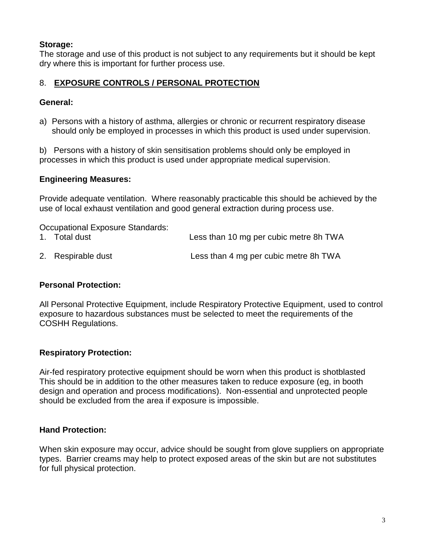# **Storage:**

The storage and use of this product is not subject to any requirements but it should be kept dry where this is important for further process use.

# 8. **EXPOSURE CONTROLS / PERSONAL PROTECTION**

### **General:**

a) Persons with a history of asthma, allergies or chronic or recurrent respiratory disease should only be employed in processes in which this product is used under supervision.

b) Persons with a history of skin sensitisation problems should only be employed in processes in which this product is used under appropriate medical supervision.

### **Engineering Measures:**

Provide adequate ventilation. Where reasonably practicable this should be achieved by the use of local exhaust ventilation and good general extraction during process use.

Occupational Exposure Standards:

| 1. Total dust      | Less than 10 mg per cubic metre 8h TWA |
|--------------------|----------------------------------------|
| 2. Respirable dust | Less than 4 mg per cubic metre 8h TWA  |

### **Personal Protection:**

All Personal Protective Equipment, include Respiratory Protective Equipment, used to control exposure to hazardous substances must be selected to meet the requirements of the COSHH Regulations.

### **Respiratory Protection:**

Air-fed respiratory protective equipment should be worn when this product is shotblasted This should be in addition to the other measures taken to reduce exposure (eg, in booth design and operation and process modifications). Non-essential and unprotected people should be excluded from the area if exposure is impossible.

### **Hand Protection:**

When skin exposure may occur, advice should be sought from glove suppliers on appropriate types. Barrier creams may help to protect exposed areas of the skin but are not substitutes for full physical protection.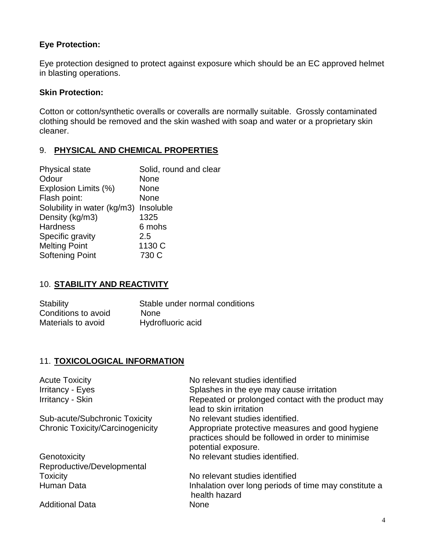### **Eye Protection:**

Eye protection designed to protect against exposure which should be an EC approved helmet in blasting operations.

### **Skin Protection:**

Cotton or cotton/synthetic overalls or coveralls are normally suitable. Grossly contaminated clothing should be removed and the skin washed with soap and water or a proprietary skin cleaner.

# 9. **PHYSICAL AND CHEMICAL PROPERTIES**

| Physical state                        | Solid, round and clear |
|---------------------------------------|------------------------|
| Odour                                 | <b>None</b>            |
| Explosion Limits (%)                  | None                   |
| Flash point:                          | None                   |
| Solubility in water (kg/m3) Insoluble |                        |
| Density (kg/m3)                       | 1325                   |
| <b>Hardness</b>                       | 6 mohs                 |
| Specific gravity                      | 2.5                    |
| <b>Melting Point</b>                  | 1130 C                 |
| <b>Softening Point</b>                | 730 C                  |
|                                       |                        |

### 10. **STABILITY AND REACTIVITY**

| <b>Stability</b>    | Stable under normal conditions |
|---------------------|--------------------------------|
| Conditions to avoid | <b>None</b>                    |
| Materials to avoid  | Hydrofluoric acid              |

### 11. **TOXICOLOGICAL INFORMATION**

| <b>Acute Toxicity</b>                   | No relevant studies identified                                                                                               |
|-----------------------------------------|------------------------------------------------------------------------------------------------------------------------------|
| <b>Irritancy - Eyes</b>                 | Splashes in the eye may cause irritation                                                                                     |
| Irritancy - Skin                        | Repeated or prolonged contact with the product may<br>lead to skin irritation                                                |
| Sub-acute/Subchronic Toxicity           | No relevant studies identified.                                                                                              |
| <b>Chronic Toxicity/Carcinogenicity</b> | Appropriate protective measures and good hygiene<br>practices should be followed in order to minimise<br>potential exposure. |
| Genotoxicity                            | No relevant studies identified.                                                                                              |
| Reproductive/Developmental              |                                                                                                                              |
| <b>Toxicity</b>                         | No relevant studies identified                                                                                               |
| Human Data                              | Inhalation over long periods of time may constitute a<br>health hazard                                                       |
| <b>Additional Data</b>                  | None                                                                                                                         |